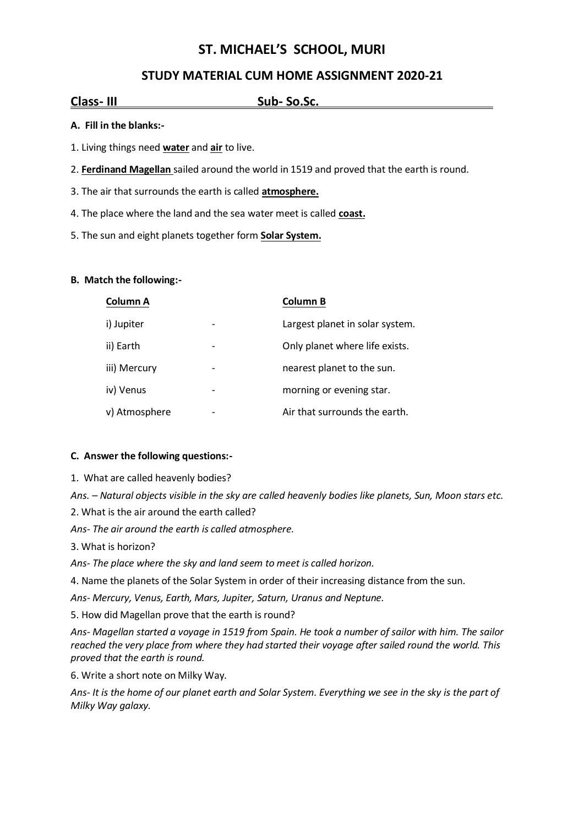# **ST. MICHAEL'S SCHOOL, MURI**

## **STUDY MATERIAL CUM HOME ASSIGNMENT 2020-21**

## **Class- III Sub- So.Sc. .**

### **A. Fill in the blanks:-**

- 1. Living things need **water** and **air** to live.
- 2. **Ferdinand Magellan** sailed around the world in 1519 and proved that the earth is round.
- 3. The air that surrounds the earth is called **atmosphere.**
- 4. The place where the land and the sea water meet is called **coast.**
- 5. The sun and eight planets together form **Solar System.**

### **B. Match the following:-**

| Column A      | <b>Column B</b>                 |
|---------------|---------------------------------|
| i) Jupiter    | Largest planet in solar system. |
| ii) Earth     | Only planet where life exists.  |
| iii) Mercury  | nearest planet to the sun.      |
| iv) Venus     | morning or evening star.        |
| v) Atmosphere | Air that surrounds the earth.   |

### **C. Answer the following questions:-**

1. What are called heavenly bodies?

*Ans. – Natural objects visible in the sky are called heavenly bodies like planets, Sun, Moon stars etc.*

2. What is the air around the earth called?

*Ans- The air around the earth is called atmosphere.*

3. What is horizon?

*Ans- The place where the sky and land seem to meet is called horizon.*

4. Name the planets of the Solar System in order of their increasing distance from the sun.

*Ans- Mercury, Venus, Earth, Mars, Jupiter, Saturn, Uranus and Neptune.*

5. How did Magellan prove that the earth is round?

*Ans- Magellan started a voyage in 1519 from Spain. He took a number of sailor with him. The sailor reached the very place from where they had started their voyage after sailed round the world. This proved that the earth is round.*

6. Write a short note on Milky Way.

*Ans- It is the home of our planet earth and Solar System. Everything we see in the sky is the part of Milky Way galaxy.*